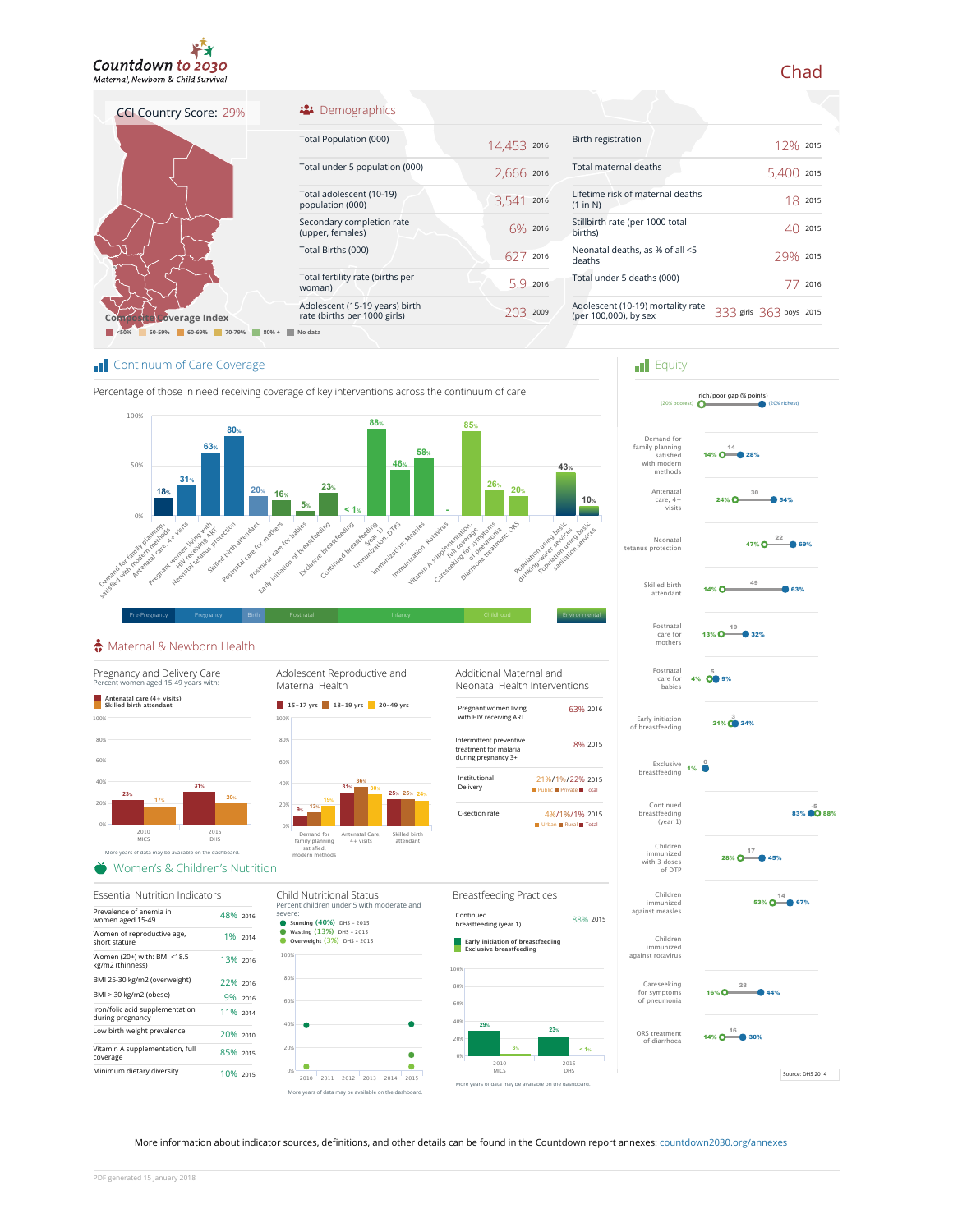

CCI Country Score: 29%

## <sup>22</sup> Demographics

| Total Population (000)                                         | 14,453 2016 |      |
|----------------------------------------------------------------|-------------|------|
| Total under 5 population (000)                                 | 2,666 2016  |      |
| Total adolescent (10-19)<br>population (000)                   | 3.541       | 2016 |
| Secondary completion rate<br>(upper, females)                  | $6\%$ 2016  |      |
| Total Births (000)                                             | 62/         | 2016 |
| Total fertility rate (births per<br>woman)                     | 59          | 2016 |
| Adolescent (15-19 years) birth<br>rate (births per 1000 girls) |             | 2009 |
|                                                                |             |      |

| Birth registration                                         | 12% 2015              |      |
|------------------------------------------------------------|-----------------------|------|
| Total maternal deaths                                      | 5.400                 | 2015 |
| Lifetime risk of maternal deaths<br>(1 in N)               | 18                    | 2015 |
| Stillbirth rate (per 1000 total<br>births)                 |                       | 2015 |
| Neonatal deaths, as % of all <5<br>deaths                  | 29%                   | 2015 |
| Total under 5 deaths (000)                                 |                       | 2016 |
| Adolescent (10-19) mortality rate<br>(per 100,000), by sex | 3 girls 363 boys 2015 |      |
|                                                            |                       |      |

**F**quity

Postnatal care for mothers

Skilled birth attendant

Neonatal

Antenatal care, 4+ visits

Demand for family planning satisfied with modern i iliuucili<br>mathods

rich/poor gap (% points) (20% poorest) (20% richest)

14%  $0 - 28%$ 

13%  $0 \longrightarrow 32%$ 

 $14\%$  0  $\longrightarrow$  63%  $49$ 

 $24\%$   $\bullet$  54% 30

47%  $\overline{\text{O}}$   $\overset{22}{\longrightarrow}$  69%

**Coverage Index <50% 50-59% 60-69% 70-79% 80% + No data**

## **T** Continuum of Care Coverage



## Maternal & Newborn Health



More information about indicator sources, definitions, and other details can be found in the Countdown report annexes: countdown2030.org/annexes

## Chad